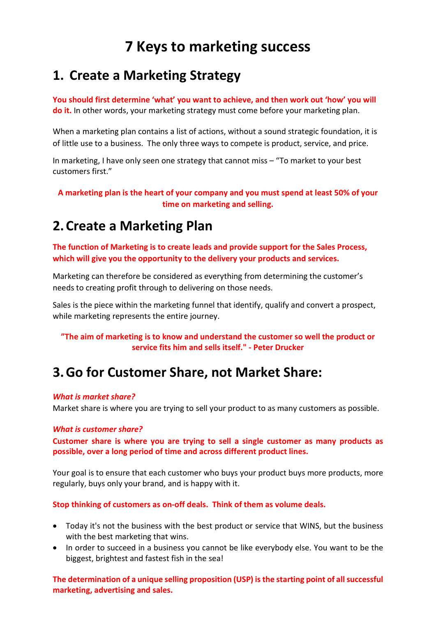# 7 Keys to marketing success

## 1. Create a Marketing Strategy

You should first determine 'what' you want to achieve, and then work out 'how' you will do it. In other words, your marketing strategy must come before your marketing plan.

When a marketing plan contains a list of actions, without a sound strategic foundation, it is of little use to a business. The only three ways to compete is product, service, and price.

In marketing, I have only seen one strategy that cannot miss – "To market to your best customers first."

A marketing plan is the heart of your company and you must spend at least 50% of your time on marketing and selling.

### 2.Create a Marketing Plan

The function of Marketing is to create leads and provide support for the Sales Process, which will give you the opportunity to the delivery your products and services.

Marketing can therefore be considered as everything from determining the customer's needs to creating profit through to delivering on those needs.

Sales is the piece within the marketing funnel that identify, qualify and convert a prospect, while marketing represents the entire journey.

#### "The aim of marketing is to know and understand the customer so well the product or service fits him and sells itself." - Peter Drucker

### 3.Go for Customer Share, not Market Share:

#### What is market share?

Market share is where you are trying to sell your product to as many customers as possible.

#### What is customer share?

Customer share is where you are trying to sell a single customer as many products as possible, over a long period of time and across different product lines.

Your goal is to ensure that each customer who buys your product buys more products, more regularly, buys only your brand, and is happy with it.

#### Stop thinking of customers as on-off deals. Think of them as volume deals.

- Today it's not the business with the best product or service that WINS, but the business with the best marketing that wins.
- In order to succeed in a business you cannot be like everybody else. You want to be the biggest, brightest and fastest fish in the sea!

The determination of a unique selling proposition (USP) is the starting point of all successful marketing, advertising and sales.